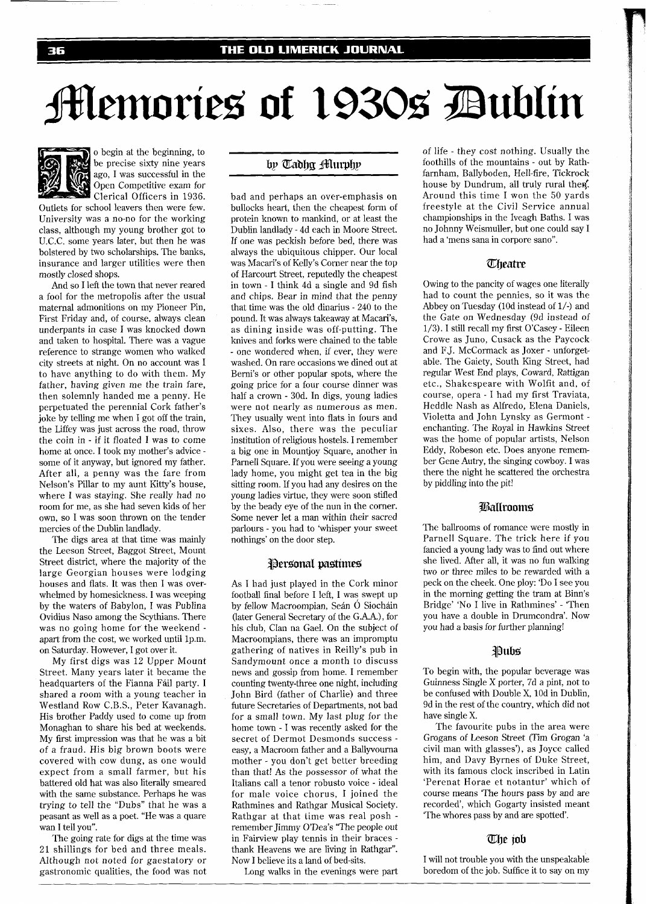# **Memories of 1930s Dublin**



o begin at the beginning, to be precise sixty nine years ago, I was successful in the Open Competitive exam for Clerical Officers in 1936.

Outlets for school leavers then were few. University was a no-no for the working class, although my young brother got to U.C.C. some years later, but then he was bolstered by two scholarships. The banks, insurance and larger utilities were then mostly closed shops.

And so I left the town that never reared a fool for the metropolis after the usual maternal admonitions on my Pioneer Pin, First Friday and, of course, always clean underpants in case I was knocked down and taken to hospital. There was a vague reference to strange women who walked city streets at night. On no account was I to have anything to do with them. My father, having given me the train fare, then solemnly handed me a penny. He perpetuated the perennial Cork father's joke by telling me when I got off the train, the Liffey was just across the road, throw the coin in - if it floated I was to come home at once. I took my mother's advice some of it anyway, but ignored my father. After all, a penny was the fare from Nelson's Pillar to my aunt Kitty's house, where I was staying. She really had no room for me, as she had seven kids of her own, so I was soon thrown on the tender mercies of the Dublin landlady.

The digs area at that time was mainly the Leeson Street, Baggot Street, Mount Street district, where the majority of the large Georgian houses were lodging houses and flats. It was then I was overwhelmed by homesickness. I was weeping by the waters of Babylon, I was Publina Ovidius Naso among the Scythians. There was no going home for the weekend apart from the cost, we worked until 1p.m. on Saturday. However, I got over it.

My first digs was 12 Upper Mount Street. Many years later it became the headquarters of the Fianna Fáil party. I shared a room with a young teacher in Westland Row C.B.S., Peter Kavanagh. His brother Paddy used to come up from Monaghan to share his bed at weekends. My first impression was that he was a bit of a fraud. His big brown boots were covered with cow dung, as one would expect from a small farmer, but his battered old hat was also literally smeared with the same substance. Perhaps he was trying to tell the "Dubs" that he was a peasant as well as a poet. "He was a quare wan I tell you".

The going rate for digs at the time was 21 shillings for bed and three meals. Although not noted for gaestatory or gastronomic qualities, the food was not

# by Tadhg Murphy

bad and perhaps an over-emphasis on bullocks heart, then the cheapest form of protein known to mankind, or at least the Dublin landlady - 4d each in Moore Street. If one was peckish before bed, there was always the ubiquitous chipper. Our local was Macari's of Kelly's Corner near the top of Harcourt Street, reputedly the cheapest in town - I think 4d a single and 9d fish and chips. Bear in mind that the penny that time was the old dinarius - 240 to the pound. It was always takeaway at Macari's, as dining inside was off-putting. The knives and forks were chained to the table - one wondered when, if ever, they were washed. On rare occasions we dined out at Berni's or other popular spots, where the going price for a four course dinner was half a crown - 30d. In digs, young ladies were not nearly as numerous as men. They usually went into flats in fours and sixes. Also, there was the peculiar institution of religious hostels. I remember a big one in Mountjoy Square, another in Parnell Square. If you were seeing a young lady home, you might get tea in the big sitting room. If you had any desires on the young ladies virtue, they were soon stifled by the beady eye of the nun in the corner. Some never let a man within their sacred parlours - you had to 'whisper your sweet nothings' on the door step.

#### Personal pastimes

As I had just played in the Cork minor football final before I left, I was swept up by fellow Macroompian, Sean O Siochain (later General Secretary of the G.A.A.), for his club, Clan na Gael. On the subject of Macroompians, there was an impromptu gathering of natives in Reilly's pub in Sandymount once a month to discuss news and gossip from home. I remember counting twenty-three one night, including John Bird (father of Charlie) and three future Secretaries of Departments, not bad for a small town. My last plug for the home town - I was recently asked for the secret of Dermot Desmonds success easy, a Macroom father and a Ballyvourna mother - you don't get better breeding than that! As the possessor of what the Italians call a tenor robusto voice - ideal for male voice chorus, I joined the Rathmines and Rathgar Musical Society. Rathgar at that time was real posh remember Jimmy O'Dea's "The people out in Fairview play tennis in their braces thank Heavens we are living in Rathgar". Now I believe its a land of bed-sits.

Long walks in the evenings were part

of life - they cost nothing. Usually the foothills of the mountains - out by Rathfarnham, Ballyboden, Hell-fire, Tickrock house by Dundrum, all truly rural then. Around this time I won the 50 yards freestyle at the Civil Service annual championships in the Iveagh Baths. I was no Johnny Weismuller, but one could say I had a 'mens sana in corpore sano".

## **Theatre**

Owing to the pancity of wages one literally had to count the pennies, so it was the Abbey on Tuesday (10d instead of l/-) and the Gate on Wednesday (9d instead of 1/3). I still recall my first O'Casey - Eileen Crowe as Juno, Cusack as the Paycock and FJ. McCormack as Joxer - unforgetable. The Gaiety, South King Street, had regular West End plays, Coward, Rattigan etc., Shakespeare with Wolfit and, of course, opera - I had my first Traviata, Heddle Nash as Alfredo, Elena Daniels, Violetta and John Lynsky as Germont enchanting. The Royal in Hawkins Street was the home of popular artists, Nelson Eddy, Robeson etc. Does anyone remember Gene Autry, the singing cowboy. I was there the night he scattered the orchestra by piddling into the pit!

# **Ballrooms**

The ballrooms of romance were mostly in Parnell Square. The trick here if you fancied a young lady was to find out where she lived. After all, it was no fun walking two or three miles to be rewarded with a peck on the cheek. One ploy: 'Do I see you in the morning getting the tram at Binn's Bridge' 'No I live in Rathmines' - 'Then you have a double in Drumcondra'. Now you had a basis for further planning!

#### Pubs:

To begin with, the popular beverage was Guinness Single X porter, 7d a pint, not to be confused with Double X, 10d in Dublin, 9d in the rest of the country, which did not have single X.

The favourite pubs in the area were Grogans of Leeson Street (Tim Grogan 'a civil man with glasses'), as Joyce called him, and Davy Byrnes of Duke Street, with its famous clock inscribed in Latin 'Perenat Horae et notantur' which of course means 'The hours pass by and are recorded', which Gogarty insisted meant 'The whores pass by and are spotted'.

## **me job**

I will not trouble you with the unspeakable boredom of the job. Suffice it to say on my